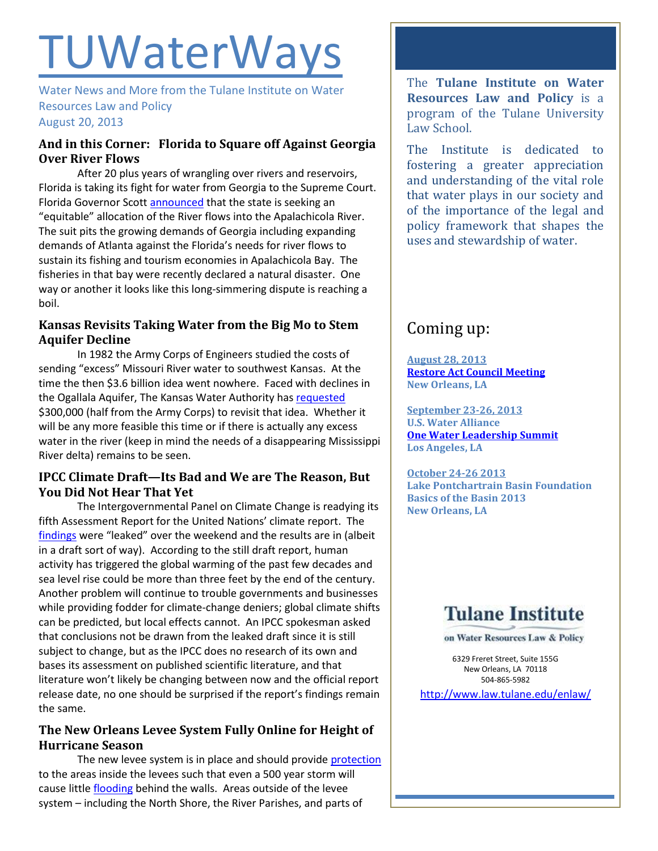# **TUWaterWays**

Water News and More from the Tulane Institute on Water Resources Law and Policy August 20, 2013

## **And in this Corner: Florida to Square off Against Georgia Over River Flows**

After 20 plus years of wrangling over rivers and reservoirs, Florida is taking its fight for water from Georgia to the Supreme Court. Florida Governor Scot[t announced](http://www.usatoday.com/story/news/nation/2013/08/14/environment-florida-georgia-water-wars/2653075/) that the state is seeking an "equitable" allocation of the River flows into the Apalachicola River. The suit pits the growing demands of Georgia including expanding demands of Atlanta against the Florida's needs for river flows to sustain its fishing and tourism economies in Apalachicola Bay. The fisheries in that bay were recently declared a natural disaster. One way or another it looks like this long-simmering dispute is reaching a boil.

## **Kansas Revisits Taking Water from the Big Mo to Stem Aquifer Decline**

In 1982 the Army Corps of Engineers studied the costs of sending "excess" Missouri River water to southwest Kansas. At the time the then \$3.6 billion idea went nowhere. Faced with declines in the Ogallala Aquifer, The Kansas Water Authority ha[s requested](http://hdnews.net/news/water080913) \$300,000 (half from the Army Corps) to revisit that idea. Whether it will be any more feasible this time or if there is actually any excess water in the river (keep in mind the needs of a disappearing Mississippi River delta) remains to be seen.

## **IPCC Climate Draft—Its Bad and We are The Reason, But You Did Not Hear That Yet**

The Intergovernmental Panel on Climate Change is readying its fifth Assessment Report for the United Nations' climate report. The [findings](http://www.nytimes.com/2013/08/20/science/earth/extremely-likely-that-human-activity-is-driving-climate-change-panel-finds.html?pagewanted=all&_r=0) were "leaked" over the weekend and the results are in (albeit in a draft sort of way). According to the still draft report, human activity has triggered the global warming of the past few decades and sea level rise could be more than three feet by the end of the century. Another problem will continue to trouble governments and businesses while providing fodder for climate-change deniers; global climate shifts can be predicted, but local effects cannot. An IPCC spokesman asked that conclusions not be drawn from the leaked draft since it is still subject to change, but as the IPCC does no research of its own and bases its assessment on published scientific literature, and that literature won't likely be changing between now and the official report release date, no one should be surprised if the report's findings remain the same.

## **The New Orleans Levee System Fully Online for Height of Hurricane Season**

The new levee system is in place and should provide [protection](http://www.nola.com/hurricane/index.ssf/2013/08/upgrated_metro_new_orleans_lev.html) to the areas inside the levees such that even a 500 year storm will cause little [flooding](http://www.nola.com/hurricane/index.ssf/2013/08/hurricane_katrina_floodwater_d.html) behind the walls. Areas outside of the levee system – including the North Shore, the River Parishes, and parts of

The **Tulane Institute on Water Resources Law and Policy** is a program of the Tulane University Law School.

The Institute is dedicated to fostering a greater appreciation and understanding of the vital role that water plays in our society and of the importance of the legal and policy framework that shapes the uses and stewardship of water.

## Coming up:

**August 28, 2013 [Restore Act Council](http://www.restorethegulf.gov/release/2013/08/07/gulf-coast-ecosystem-restoration-council-meet-august-28-2013) Meeting New Orleans, LA**

**September 23-26, 2013 U.S. Water Alliance [One Water Leadership Summit](http://www.uswateralliance.org/event/urban-water-leadership-summit/) Los Angeles, LA**

**October 24-26 2013 Lake Pontchartrain Basin Foundation Basics of the Basin 2013 New Orleans, LA** 

## **Tulane Institute**

on Water Resources Law & Policy

6329 Freret Street, Suite 155G New Orleans, LA 70118 504-865-5982

<http://www.law.tulane.edu/enlaw/>